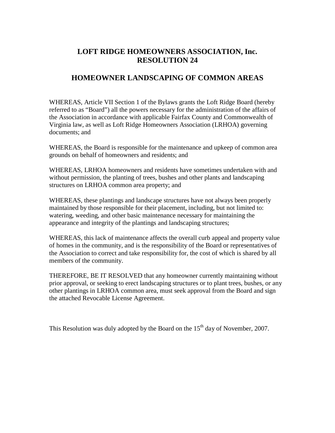## **LOFT RIDGE HOMEOWNERS ASSOCIATION, Inc. RESOLUTION 24**

## **HOMEOWNER LANDSCAPING OF COMMON AREAS**

WHEREAS, Article VII Section 1 of the Bylaws grants the Loft Ridge Board (hereby referred to as "Board") all the powers necessary for the administration of the affairs of the Association in accordance with applicable Fairfax County and Commonwealth of Virginia law, as well as Loft Ridge Homeowners Association (LRHOA) governing documents; and

WHEREAS, the Board is responsible for the maintenance and upkeep of common area grounds on behalf of homeowners and residents; and

WHEREAS, LRHOA homeowners and residents have sometimes undertaken with and without permission, the planting of trees, bushes and other plants and landscaping structures on LRHOA common area property; and

WHEREAS, these plantings and landscape structures have not always been properly maintained by those responsible for their placement, including, but not limited to: watering, weeding, and other basic maintenance necessary for maintaining the appearance and integrity of the plantings and landscaping structures;

WHEREAS, this lack of maintenance affects the overall curb appeal and property value of homes in the community, and is the responsibility of the Board or representatives of the Association to correct and take responsibility for, the cost of which is shared by all members of the community.

THEREFORE, BE IT RESOLVED that any homeowner currently maintaining without prior approval, or seeking to erect landscaping structures or to plant trees, bushes, or any other plantings in LRHOA common area, must seek approval from the Board and sign the attached Revocable License Agreement.

This Resolution was duly adopted by the Board on the  $15<sup>th</sup>$  day of November, 2007.